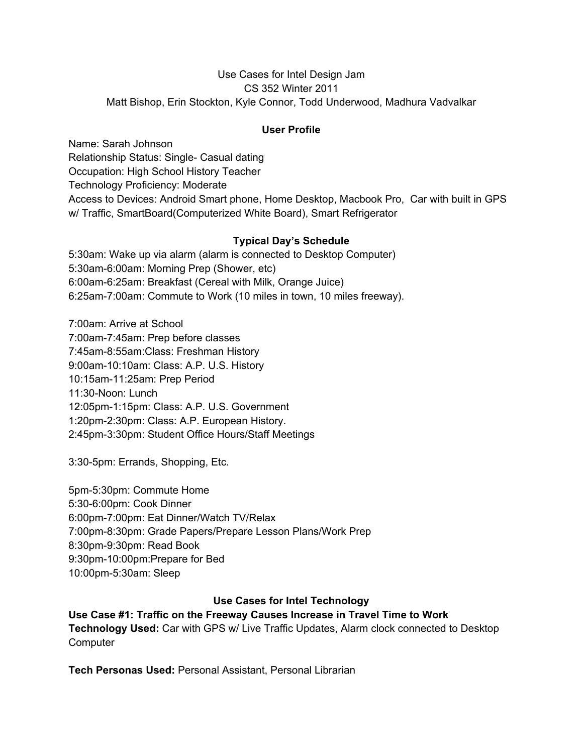#### Use Cases for Intel Design Jam CS 352 Winter 2011 Matt Bishop, Erin Stockton, Kyle Connor, Todd Underwood, Madhura Vadvalkar

### **User Profile**

Name: Sarah Johnson Relationship Status: Single- Casual dating Occupation: High School History Teacher Technology Proficiency: Moderate Access to Devices: Android Smart phone, Home Desktop, Macbook Pro, Car with built in GPS w/ Traffic, SmartBoard(Computerized White Board), Smart Refrigerator

## **Typical Day's Schedule**

5:30am: Wake up via alarm (alarm is connected to Desktop Computer) 5:30am-6:00am: Morning Prep (Shower, etc) 6:00am-6:25am: Breakfast (Cereal with Milk, Orange Juice) 6:25am-7:00am: Commute to Work (10 miles in town, 10 miles freeway).

7:00am: Arrive at School 7:00am-7:45am: Prep before classes 7:45am-8:55am:Class: Freshman History 9:00am-10:10am: Class: A.P. U.S. History 10:15am-11:25am: Prep Period 11:30-Noon: Lunch 12:05pm-1:15pm: Class: A.P. U.S. Government 1:20pm-2:30pm: Class: A.P. European History. 2:45pm-3:30pm: Student Office Hours/Staff Meetings

3:30-5pm: Errands, Shopping, Etc.

5pm-5:30pm: Commute Home 5:30-6:00pm: Cook Dinner 6:00pm-7:00pm: Eat Dinner/Watch TV/Relax 7:00pm-8:30pm: Grade Papers/Prepare Lesson Plans/Work Prep 8:30pm-9:30pm: Read Book 9:30pm-10:00pm:Prepare for Bed 10:00pm-5:30am: Sleep

## **Use Cases for Intel Technology**

**Use Case #1: Traffic on the Freeway Causes Increase in Travel Time to Work Technology Used:** Car with GPS w/ Live Traffic Updates, Alarm clock connected to Desktop **Computer** 

**Tech Personas Used:** Personal Assistant, Personal Librarian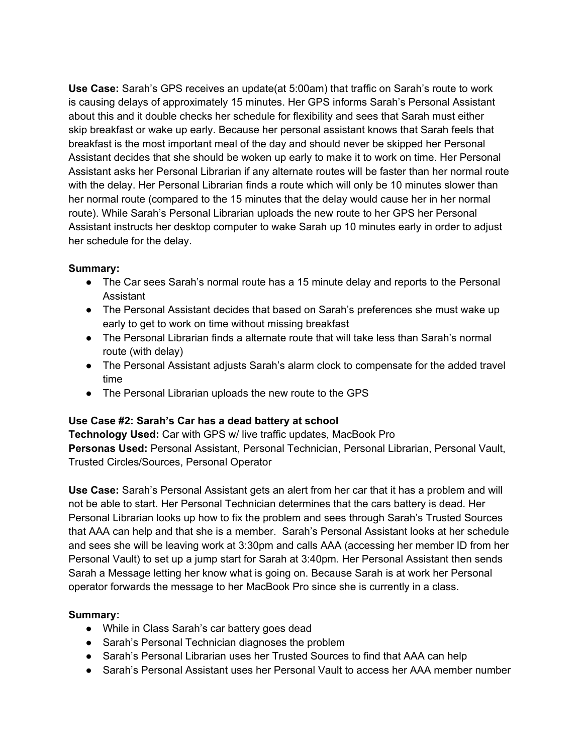**Use Case:** Sarah's GPS receives an update(at 5:00am) that traffic on Sarah's route to work is causing delays of approximately 15 minutes. Her GPS informs Sarah's Personal Assistant about this and it double checks her schedule for flexibility and sees that Sarah must either skip breakfast or wake up early. Because her personal assistant knows that Sarah feels that breakfast is the most important meal of the day and should never be skipped her Personal Assistant decides that she should be woken up early to make it to work on time. Her Personal Assistant asks her Personal Librarian if any alternate routes will be faster than her normal route with the delay. Her Personal Librarian finds a route which will only be 10 minutes slower than her normal route (compared to the 15 minutes that the delay would cause her in her normal route). While Sarah's Personal Librarian uploads the new route to her GPS her Personal Assistant instructs her desktop computer to wake Sarah up 10 minutes early in order to adjust her schedule for the delay.

### **Summary:**

- The Car sees Sarah's normal route has a 15 minute delay and reports to the Personal Assistant
- The Personal Assistant decides that based on Sarah's preferences she must wake up early to get to work on time without missing breakfast
- The Personal Librarian finds a alternate route that will take less than Sarah's normal route (with delay)
- The Personal Assistant adjusts Sarah's alarm clock to compensate for the added travel time
- The Personal Librarian uploads the new route to the GPS

## **Use Case #2: Sarah's Car has a dead battery at school**

**Technology Used:** Car with GPS w/ live traffic updates, MacBook Pro **Personas Used:** Personal Assistant, Personal Technician, Personal Librarian, Personal Vault, Trusted Circles/Sources, Personal Operator

**Use Case:** Sarah's Personal Assistant gets an alert from her car that it has a problem and will not be able to start. Her Personal Technician determines that the cars battery is dead. Her Personal Librarian looks up how to fix the problem and sees through Sarah's Trusted Sources that AAA can help and that she is a member. Sarah's Personal Assistant looks at her schedule and sees she will be leaving work at 3:30pm and calls AAA (accessing her member ID from her Personal Vault) to set up a jump start for Sarah at 3:40pm. Her Personal Assistant then sends Sarah a Message letting her know what is going on. Because Sarah is at work her Personal operator forwards the message to her MacBook Pro since she is currently in a class.

## **Summary:**

- While in Class Sarah's car battery goes dead
- Sarah's Personal Technician diagnoses the problem
- Sarah's Personal Librarian uses her Trusted Sources to find that AAA can help
- Sarah's Personal Assistant uses her Personal Vault to access her AAA member number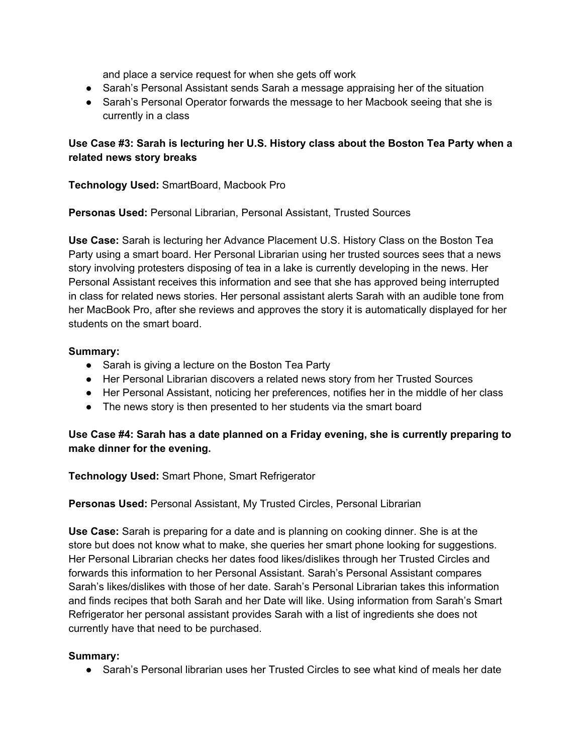and place a service request for when she gets off work

- Sarah's Personal Assistant sends Sarah a message appraising her of the situation
- Sarah's Personal Operator forwards the message to her Macbook seeing that she is currently in a class

# **Use Case #3: Sarah is lecturing her U.S. History class about the Boston Tea Party when a related news story breaks**

**Technology Used:** SmartBoard, Macbook Pro

**Personas Used:** Personal Librarian, Personal Assistant, Trusted Sources

**Use Case:** Sarah is lecturing her Advance Placement U.S. History Class on the Boston Tea Party using a smart board. Her Personal Librarian using her trusted sources sees that a news story involving protesters disposing of tea in a lake is currently developing in the news. Her Personal Assistant receives this information and see that she has approved being interrupted in class for related news stories. Her personal assistant alerts Sarah with an audible tone from her MacBook Pro, after she reviews and approves the story it is automatically displayed for her students on the smart board.

## **Summary:**

- Sarah is giving a lecture on the Boston Tea Party
- Her Personal Librarian discovers a related news story from her Trusted Sources
- Her Personal Assistant, noticing her preferences, notifies her in the middle of her class
- The news story is then presented to her students via the smart board

## **Use Case #4: Sarah has a date planned on a Friday evening, she is currently preparing to make dinner for the evening.**

**Technology Used:** Smart Phone, Smart Refrigerator

**Personas Used:** Personal Assistant, My Trusted Circles, Personal Librarian

**Use Case:** Sarah is preparing for a date and is planning on cooking dinner. She is at the store but does not know what to make, she queries her smart phone looking for suggestions. Her Personal Librarian checks her dates food likes/dislikes through her Trusted Circles and forwards this information to her Personal Assistant. Sarah's Personal Assistant compares Sarah's likes/dislikes with those of her date. Sarah's Personal Librarian takes this information and finds recipes that both Sarah and her Date will like. Using information from Sarah's Smart Refrigerator her personal assistant provides Sarah with a list of ingredients she does not currently have that need to be purchased.

## **Summary:**

**●** Sarah's Personal librarian uses her Trusted Circles to see what kind of meals her date